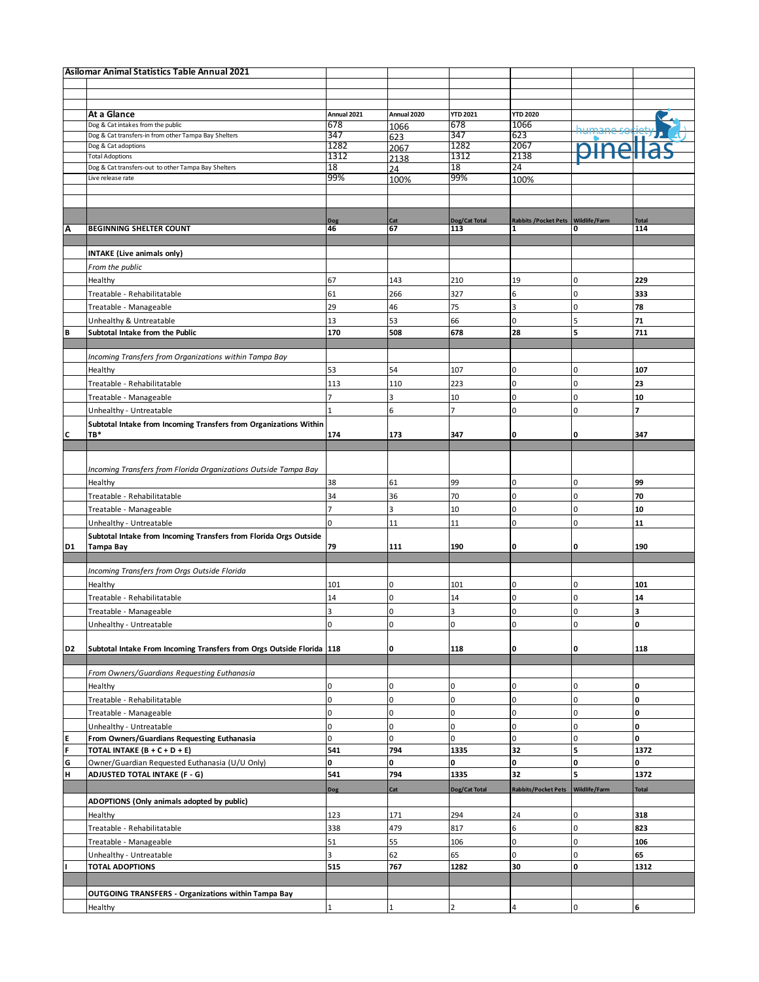| Asilomar Animal Statistics Table Annual 2021 |                                                                          |                |              |                 |                                       |                |              |
|----------------------------------------------|--------------------------------------------------------------------------|----------------|--------------|-----------------|---------------------------------------|----------------|--------------|
|                                              |                                                                          |                |              |                 |                                       |                |              |
|                                              |                                                                          |                |              |                 |                                       |                |              |
|                                              | At a Glance                                                              | Annual 2021    | Annual 2020  | <b>YTD 2021</b> | <b>YTD 2020</b>                       |                |              |
|                                              | Dog & Cat intakes from the public                                        | 678            | 1066         | 678             | 1066                                  |                |              |
|                                              | Dog & Cat transfers-in from other Tampa Bay Shelters                     | 347            | 623          | 347             | 623                                   |                |              |
|                                              | Dog & Cat adoptions                                                      | 1282           | 2067         | 1282            | 2067                                  |                |              |
|                                              | <b>Total Adoptions</b>                                                   | 1312           | 2138         | 1312            | 2138                                  |                |              |
|                                              | Dog & Cat transfers-out to other Tampa Bay Shelters                      | 18             | 24           | 18              | 24                                    |                |              |
|                                              | Live release rate                                                        | 99%            | 100%         | 99%             | 100%                                  |                |              |
|                                              |                                                                          |                |              |                 |                                       |                |              |
|                                              |                                                                          |                |              |                 |                                       |                |              |
|                                              |                                                                          | Dog            | Cat          | Dog/Cat Total   | Rabbits / Pocket Pets   Wildlife/Farm |                | <b>Total</b> |
| Λ                                            | <b>BEGINNING SHELTER COUNT</b>                                           | 46             | 67           | 113             | 1                                     | O              | 114          |
|                                              |                                                                          |                |              |                 |                                       |                |              |
|                                              | <b>INTAKE</b> (Live animals only)                                        |                |              |                 |                                       |                |              |
|                                              | From the public                                                          |                |              |                 |                                       |                |              |
|                                              |                                                                          | 67             | 143          | 210             | 19                                    | 0              | 229          |
|                                              | Healthy                                                                  |                |              |                 |                                       |                |              |
|                                              | Treatable - Rehabilitatable                                              | 61             | 266          | 327             | $\boldsymbol{6}$                      | $\mathbf 0$    | 333          |
|                                              | Treatable - Manageable                                                   | 29             | 46           | 75              | 3                                     | $\mathbf 0$    | 78           |
|                                              | Unhealthy & Untreatable                                                  | 13             | 53           | 66              | $\mathbf 0$                           | 5              | 71           |
| B                                            | Subtotal Intake from the Public                                          | 170            | 508          | 678             | 28                                    | 5              | 711          |
|                                              |                                                                          |                |              |                 |                                       |                |              |
|                                              | Incoming Transfers from Organizations within Tampa Bay                   |                |              |                 |                                       |                |              |
|                                              | Healthy                                                                  | 53             | 54           | 107             | $\overline{0}$                        | $\mathbf 0$    | 107          |
|                                              | Treatable - Rehabilitatable                                              | 113            | 110          | 223             | $\pmb{0}$                             | $\overline{0}$ | 23           |
|                                              | Treatable - Manageable                                                   | $\overline{7}$ | 3            | 10              | $\mathbf 0$                           | $\overline{0}$ | 10           |
|                                              | Unhealthy - Untreatable                                                  | $\mathbf{1}$   | 6            | 7               | 0                                     | $\mathbf 0$    | 7            |
|                                              |                                                                          |                |              |                 |                                       |                |              |
|                                              | Subtotal Intake from Incoming Transfers from Organizations Within<br>TB* |                |              |                 | O                                     | 0              | 347          |
| C                                            |                                                                          | 174            | 173          | 347             |                                       |                |              |
|                                              |                                                                          |                |              |                 |                                       |                |              |
|                                              | Incoming Transfers from Florida Organizations Outside Tampa Bay          |                |              |                 |                                       |                |              |
|                                              | Healthy                                                                  | 38             | 61           | 99              | $\mathbf 0$                           | $\overline{0}$ | 99           |
|                                              |                                                                          |                |              |                 |                                       |                |              |
|                                              | Treatable - Rehabilitatable                                              | 34             | 36           | 70              | 0                                     | $\Omega$       | 70           |
|                                              | Treatable - Manageable                                                   | $\overline{7}$ | 3            | 10              | $\overline{0}$                        | $\overline{0}$ | 10           |
|                                              | Unhealthy - Untreatable                                                  | 0              | 11           | 11              | 0                                     | $\mathbf 0$    | 11           |
|                                              | Subtotal Intake from Incoming Transfers from Florida Orgs Outside        |                |              |                 |                                       |                |              |
| D <sub>1</sub>                               | <b>Tampa Bay</b>                                                         | 79             | 111          | 190             | O                                     | O              | 190          |
|                                              |                                                                          |                |              |                 |                                       |                |              |
|                                              | Incoming Transfers from Orgs Outside Florida                             |                |              |                 |                                       |                |              |
|                                              | Healthy                                                                  | 101            | 0            | 101             | 0                                     | $\mathbf 0$    | 101          |
|                                              | Treatable - Rehabilitatable                                              | 14             | 0            | 14              | $\mathbf 0$                           | $\mathbf 0$    | 14           |
|                                              | Treatable - Manageable                                                   | 3              | 0            | 3               | 0                                     | $\Omega$       | 3            |
|                                              | Unhealthy - Untreatable                                                  | 0              | 0            | 0               | $\mathbf 0$                           | $\mathbf 0$    | O            |
|                                              |                                                                          |                |              |                 |                                       |                |              |
| D <sub>2</sub>                               | Subtotal Intake From Incoming Transfers from Orgs Outside Florida 118    |                | 0            | 118             | 0                                     | O              | 118          |
|                                              |                                                                          |                |              |                 |                                       |                |              |
|                                              | From Owners/Guardians Requesting Euthanasia                              |                |              |                 |                                       |                |              |
|                                              |                                                                          | 0              |              |                 |                                       |                |              |
|                                              | Healthy                                                                  |                | 0            | $\mathbf 0$     | 0                                     | $\overline{0}$ | O            |
|                                              | Treatable - Rehabilitatable                                              | $\mathbf 0$    | 0            | $\mathbf 0$     | $\mathbf 0$                           | $\mathbf 0$    | O            |
|                                              | Treatable - Manageable                                                   | $\overline{0}$ | 0            | $\mathbf 0$     | $\overline{0}$                        | $\mathbf 0$    | I٥           |
|                                              | Unhealthy - Untreatable                                                  | $\overline{0}$ | 0            | $\mathbf 0$     | 0                                     | 0              | O            |
| E                                            | From Owners/Guardians Requesting Euthanasia                              | 0              | 0            | $\mathbf 0$     | $\overline{0}$                        | $\overline{0}$ | O            |
| F                                            | TOTAL INTAKE (B + C + D + E)                                             | 541            | 794          | 1335            | 32                                    | 5              | 1372         |
| G                                            | Owner/Guardian Requested Euthanasia (U/U Only)                           | 0              | 0            | O               | O                                     | $\mathbf 0$    | O            |
| H                                            | ADJUSTED TOTAL INTAKE (F - G)                                            | 541            | 794          | 1335            | 32                                    | 5              | 1372         |
|                                              |                                                                          | Dog            | Cat          | Dog/Cat Total   | <b>Rabbits/Pocket Pets</b>            | Wildlife/Farm  | <b>Total</b> |
|                                              | ADOPTIONS (Only animals adopted by public)                               |                |              |                 |                                       |                |              |
|                                              | Healthy                                                                  | 123            | 171          | 294             | 24                                    | $\overline{0}$ | 318          |
|                                              |                                                                          |                |              |                 | $6\overline{6}$                       | $\mathbf 0$    |              |
|                                              | Treatable - Rehabilitatable                                              | 338            | 479          | 817             |                                       |                | 823          |
|                                              | Treatable - Manageable                                                   | 51             | 55           | 106             | $\overline{0}$                        | $\overline{0}$ | 106          |
|                                              | Unhealthy - Untreatable                                                  | 3              | 62           | 65              | $\pmb{0}$                             | 0              | 65           |
|                                              | <b>TOTAL ADOPTIONS</b>                                                   | 515            | 767          | 1282            | 30                                    | $\mathbf{0}$   | 1312         |
|                                              |                                                                          |                |              |                 |                                       |                |              |
|                                              | <b>OUTGOING TRANSFERS - Organizations within Tampa Bay</b>               |                |              |                 |                                       |                |              |
|                                              | Healthy                                                                  | $\mathbf 1$    | $\mathbf{1}$ | $\overline{2}$  | $\overline{4}$                        | $\mathbf 0$    | 6            |